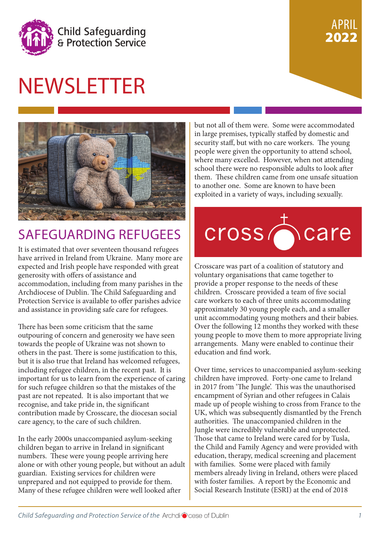

#### PRIL 2022 APRIL 2022

# NEWSLETTER



### SAFEGUARDING REFUGEES  $\mathcal{A}$  report will be prepared and prepared to  $\mathcal{A}$

It is estimated that over seventeen thousand refugees expected and Irish people have responded with great generosity with oners of assistance and<br>example the debate about the debate about the debate about the debate about the debate about the debate about the debate about the debate about the debate about the debate about the accommodation, including from many parishes in the<br>Architecture of Dublin. The Child Cofe and included Archabocese of Dublin, The Clind Sateguarung and<br>Protection Service is available to offer parishes advice have continued to the international continues and the continues and the continues of the reference and assistance in providing safe care for refugees. have arrived in Ireland from Ukraine. Many more are generosity with offers of assistance and Archdiocese of Dublin. The Child Safeguarding and

There has been some criticism that the same note has been some entretain that the same<br>outpouring of concern and generosity we have seen towards the people of Ukraine was not shown to others in the past. There is some justification to this, but it is also true that Ireland has welcomed refugees, including refugee children, in the recent past. It is important for us to learn from the experience of caring for such refugee children so that the mistakes of the recognise, and take pride in, the significant contribution made by Crosscare, the diocesan social care agency, to the care of such children. past are not repeated. It is also important that we

In the early 2000s unaccompanied asylum-seeking children began to arrive in Ireland in significant numbers. These were young people arriving here alone or with other young people, but without an adult guardian. Existing services for children were unprepared and not equipped to provide for them. Many of these refugee children were well looked after

but not all of them were. Some were accommodated in large premises, typically staffed by domestic and security staff, but with no care workers. The young people were given the opportunity to attend school, where many excelled. However, when not attending school there were no responsible adults to look after them. These children came from one unsafe situation to another one. Some are known to have been exploited in a variety of ways, including sexually.



 $\overline{a}$  safeguarding message has to be a priority as  $\overline{a}$ Crosscare was part of a coalition of statutory and voluntary organisations that came together to provide a proper response to the needs of these children. Crosscare provided a team of five social<br>consequence to each of these waits accounts dition care workers to each of three units accommodating<br>care workers to sach of three units accommodating approximately 50 young people eaen, and a smaller unit accommodating young mothers and their babies. Over the following 12 months they worked with these arrangements. Many were enabled to continue their for dialogue and find work. approximately 30 young people each, and a smaller young people to move them to more appropriate living

Over time, services to unaccompanied asylum-seeking children have improved. Forty-one came to Ireland in 2017 from 'The Jungle'. This was the unauthorised encampment of Syrian and other refugees in Calais made up of people wishing to cross from France to the UK, which was subsequently dismantled by the French authorities. The unaccompanied children in the Those that came to Ireland were cared for by Tusla, the Child and Family Agency and were provided with education, therapy, medical screening and placement with families. Some were placed with family members already living in Ireland, others were placed with foster families. A report by the Economic and Jungle were incredibly vulnerable and unprotected. Social Research Institute (ESRI) at the end of 2018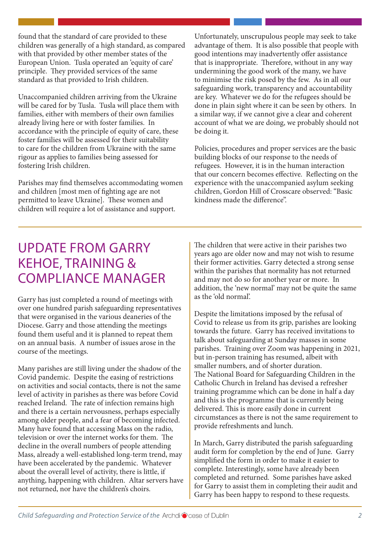found that the standard of care provided to these children was generally of a high standard, as compared<br>children was generally of a high standard, as compared with that provided by other member states of the<br>Expression With a with the manufacture of the many states of the many states of the many states of the many st European Union. Tusla operated an 'equity of care'<br>nrin sinks. They neevided corriere of the came. principie. They provided services or the same standard as that provided to Irish children. principle. They provided services of the same

Unaccompanied children arriving from the Ukraine ondering and enhanced and implemented and increase them with will be cared for by Tusla. Tusla will place them with families, either with members of their own families already living here or with foster families. In  $\alpha$  accordance with the principle of equity of care, these foster families will be assessed for their suitability to care for the children from Ukraine with the same rigour as applies to families being assessed for fostering Irish children.

permitted to leave UKTaine<sub>1</sub>. These women and support. Parishes may find themselves accommodating women and children [most men of fighting age are not permitted to leave Ukraine]. These women and

Unfortunately, unscrupulous people may seek to take advantage of them. It is also possible that people with  $\frac{d}{dx}$ good intentions may inadvertently offer assistance<br>that is in regnominity. Therefore with set in concerne that is inappropriate. Therefore, without in any way<br>undermining the good work of the many we have and finitial group work of the many, we have to minimise the risk posed by the few. As in all our to minimise the risk posed by the rew. This in all our safeguarding work, transparency and accountability barriers that alleges are key. Whatever we do for the refugees should be are negrome in plain sight where it can be seen by others. In a similar way, if we cannot give a clear and coherent account of what we are doing, we probably should not be doing it.  $\mathbb{R}^n$  that all of using using using using  $\mathbb{R}^n$  . The contract of using  $\mathbb{R}^n$  is that all of using  $\mathbb{R}^n$  is that all of using  $\mathbb{R}^n$  is that all of using  $\mathbb{R}^n$  is that all of usin religious and lay people are called to share in the undermining the good work of the many, we have

Policies, procedures and proper services are the basic building blocks of our response to the needs of  $R$ indress made the directive. refugees. However, it is in the human interaction that our concern becomes effective. Reflecting on the experience with the unaccompanied asylum seeking children, Gordon Hill of Crosscare observed: "Basic kindness made the difference".

### $TSP^2$  for  $TSP^2$  for  $TSP^2$ UPDATE FROM GARRY  $V$ ELINE TRAININIC 0 KEHOE, TRAINING & COMPLIANCE MANAGER

SAFEGUARDING SAFEGUARDING S

 $\overline{a}$  is in the safeguarding. bver one nunured parism sareguarumg representatives<br>that were organised in the various deaneries of the mat were organised in the various dealeries of the<br>Diocese. Garry and those attending the meetings  $t_{\text{p}}$  found them useful and it is planned to repeat them from a them as the new theology of spanned to repeat them<br>on an annual basis. A number of issues arose in the Garry has just completed a round of meetings with over one hundred parish safeguarding representatives course of the meetings.

Many parishes are still living under the shadow of the Covid pandemic. Despite the easing of restrictions on activities and social contacts, there is not the same level of activity in parishes as there was before Covid reached Ireland. The rate of infection remains high and there is a certain nervousness, perhaps especially among older people, and a fear of becoming infected. Many have found that accessing Mass on the radio, television or over the internet works for them. The decline in the overall numbers of people attending Mass, already a well-established long-term trend, may have been accelerated by the pandemic. Whatever about the overall level of activity, there is little, if anything, happening with children. Altar servers have not returned, nor have the children's choirs.

The children that were active in their parishes two Fire emarch that were active in their parishes two<br>years ago are older now and may not wish to resume from their former activities. Garry detected a strong sense within the parishes that normality has not returned which the particles that normality has not retained and may not do so for another year or more. In addition, the 'new normal' may not be quite the same as the 'old normal'.

Despite the limitations imposed by the refusal of Covid to release us from its grip, parishes are looking towards the future. Garry has received invitations to talk about safeguarding at Sunday masses in some parishes. Training over Zoom was happening in 2021, but in-person training has resumed, albeit with smaller numbers, and of shorter duration. Catholic Church in Ireland has devised a refresher training programme which can be done in half a day and this is the programme that is currently being delivered. This is more easily done in current circumstances as there is not the same requirement to provide refreshments and lunch. The National Board for Safeguarding Children in the

ratification of the Convention by the Holy See. He In March, Garry distributed the parish safeguarding audit form for completion by the end of June. Garry simplified the form in order to make it easier to the complete. Interestingly, some have already been<br>completed and actually for magnitude begins completed and returned. Some parishes have asked<br>for Garry to assist them in completing their audit and completed and returned. Some parishes have asked Garry has been happy to respond to these requests.